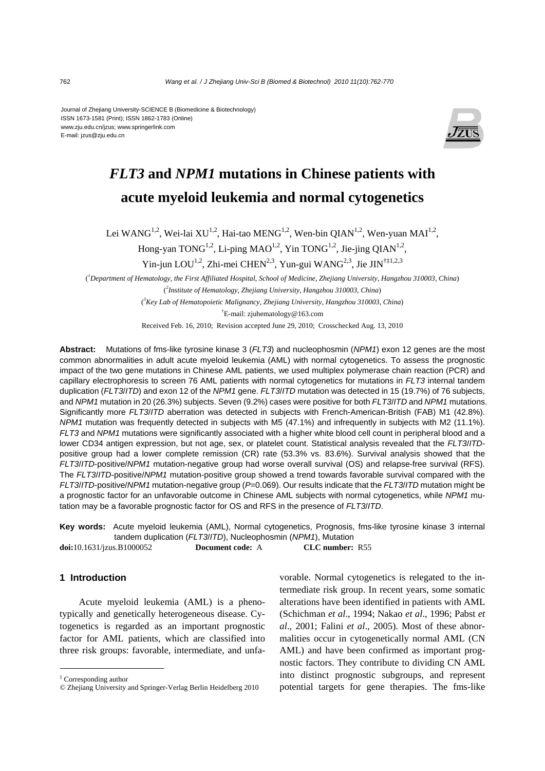Journal of Zhejiang University-SCIENCE B (Biomedicine & Biotechnology) ISSN 1673-1581 (Print); ISSN 1862-1783 (Online) www.zju.edu.cn/jzus; www.springerlink.com E-mail: jzus@zju.edu.cn



# *FLT3* **and** *NPM1* **mutations in Chinese patients with acute myeloid leukemia and normal cytogenetics**

Lei WANG<sup>1,2</sup>, Wei-lai XU<sup>1,2</sup>, Hai-tao MENG<sup>1,2</sup>, Wen-bin QIAN<sup>1,2</sup>, Wen-yuan MAI<sup>1,2</sup>,

Hong-yan TONG<sup>1,2</sup>, Li-ping MAO<sup>1,2</sup>, Yin TONG<sup>1,2</sup>, Jie-jing OIAN<sup>1,2</sup>,

Yin-jun LOU<sup>1,2</sup>, Zhi-mei CHEN<sup>2,3</sup>, Yun-gui WANG<sup>2,3</sup>, Jie JIN<sup>†‡1,2,3</sup>

( *1 Department of Hematology, the First Affiliated Hospital, School of Medicine, Zhejiang University, Hangzhou 310003, China*) ( *2 Institute of Hematology, Zhejiang University, Hangzhou 310003, China*)

( *3 Key Lab of Hematopoietic Malignancy, Zhejiang University, Hangzhou 310003, China*)

† E-mail: zjuhematology@163.com

Received Feb. 16, 2010; Revision accepted June 29, 2010; Crosschecked Aug. 13, 2010

**Abstract:** Mutations of fms-like tyrosine kinase 3 (*FLT3*) and nucleophosmin (*NPM1*) exon 12 genes are the most common abnormalities in adult acute myeloid leukemia (AML) with normal cytogenetics. To assess the prognostic impact of the two gene mutations in Chinese AML patients, we used multiplex polymerase chain reaction (PCR) and capillary electrophoresis to screen 76 AML patients with normal cytogenetics for mutations in *FLT3* internal tandem duplication (*FLT3*/*ITD*) and exon 12 of the *NPM1* gene. *FLT3*/*ITD* mutation was detected in 15 (19.7%) of 76 subjects, and *NPM1* mutation in 20 (26.3%) subjects. Seven (9.2%) cases were positive for both *FLT3*/*ITD* and *NPM1* mutations. Significantly more *FLT3*/*ITD* aberration was detected in subjects with French-American-British (FAB) M1 (42.8%). *NPM1* mutation was frequently detected in subjects with M5 (47.1%) and infrequently in subjects with M2 (11.1%). *FLT3* and *NPM1* mutations were significantly associated with a higher white blood cell count in peripheral blood and a lower CD34 antigen expression, but not age, sex, or platelet count. Statistical analysis revealed that the *FLT3*/*ITD*positive group had a lower complete remission (CR) rate (53.3% vs. 83.6%). Survival analysis showed that the *FLT3*/*ITD*-positive/*NPM1* mutation-negative group had worse overall survival (OS) and relapse-free survival (RFS). The *FLT3*/*ITD*-positive/*NPM1* mutation-positive group showed a trend towards favorable survival compared with the *FLT3*/*ITD*-positive/*NPM1* mutation-negative group (*P*=0.069). Our results indicate that the *FLT3*/*ITD* mutation might be a prognostic factor for an unfavorable outcome in Chinese AML subjects with normal cytogenetics, while *NPM1* mutation may be a favorable prognostic factor for OS and RFS in the presence of *FLT3*/*ITD*.

**Key words:** Acute myeloid leukemia (AML), Normal cytogenetics, Prognosis, fms-like tyrosine kinase 3 internal tandem duplication (*FLT3*/*ITD*), Nucleophosmin (*NPM1*), Mutation

**doi:**10.1631/jzus.B1000052 **Document code:** A **CLC number:** R55

# **1 Introduction**

Acute myeloid leukemia (AML) is a phenotypically and genetically heterogeneous disease. Cytogenetics is regarded as an important prognostic factor for AML patients, which are classified into three risk groups: favorable, intermediate, and unfavorable. Normal cytogenetics is relegated to the intermediate risk group. In recent years, some somatic alterations have been identified in patients with AML (Schichman *et al*., 1994; Nakao *et al*., 1996; Pabst *et al*., 2001; Falini *et al*., 2005). Most of these abnormalities occur in cytogenetically normal AML (CN AML) and have been confirmed as important prognostic factors. They contribute to dividing CN AML into distinct prognostic subgroups, and represent potential targets for gene therapies. The fms-like

<sup>‡</sup> Corresponding author

<sup>©</sup> Zhejiang University and Springer-Verlag Berlin Heidelberg 2010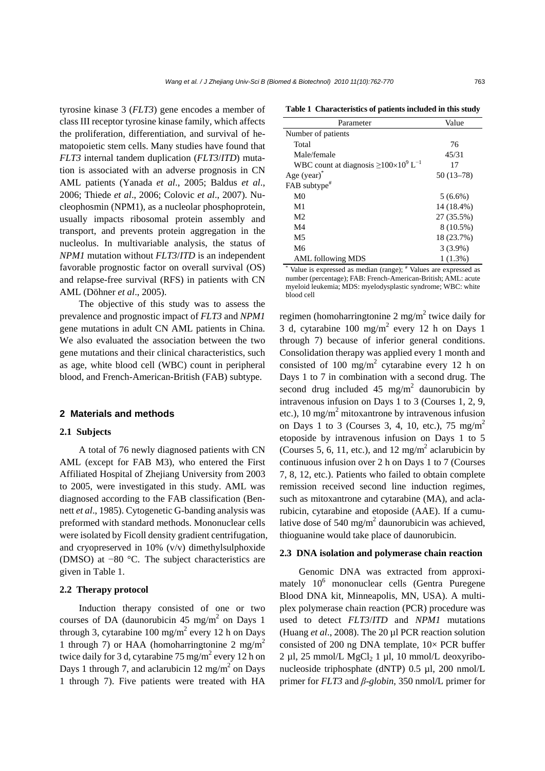tyrosine kinase 3 (*FLT3*) gene encodes a member of class III receptor tyrosine kinase family, which affects the proliferation, differentiation, and survival of hematopoietic stem cells. Many studies have found that *FLT3* internal tandem duplication (*FLT3*/*ITD*) mutation is associated with an adverse prognosis in CN AML patients (Yanada *et al*., 2005; Baldus *et al*., 2006; Thiede *et al*., 2006; Colovic *et al*., 2007). Nucleophosmin (NPM1), as a nucleolar phosphoprotein, usually impacts ribosomal protein assembly and transport, and prevents protein aggregation in the nucleolus. In multivariable analysis, the status of *NPM1* mutation without *FLT3*/*ITD* is an independent favorable prognostic factor on overall survival (OS) and relapse-free survival (RFS) in patients with CN AML (Döhner *et al*., 2005).

The objective of this study was to assess the prevalence and prognostic impact of *FLT3* and *NPM1* gene mutations in adult CN AML patients in China. We also evaluated the association between the two gene mutations and their clinical characteristics, such as age, white blood cell (WBC) count in peripheral blood, and French-American-British (FAB) subtype.

#### **2 Materials and methods**

#### **2.1 Subjects**

A total of 76 newly diagnosed patients with CN AML (except for FAB M3), who entered the First Affiliated Hospital of Zhejiang University from 2003 to 2005, were investigated in this study. AML was diagnosed according to the FAB classification (Bennett *et al*., 1985). Cytogenetic G-banding analysis was preformed with standard methods. Mononuclear cells were isolated by Ficoll density gradient centrifugation, and cryopreserved in 10% (v/v) dimethylsulphoxide (DMSO) at −80 °C. The subject characteristics are given in Table 1.

#### **2.2 Therapy protocol**

Induction therapy consisted of one or two courses of DA (daunorubicin 45 mg/m<sup>2</sup> on Days 1 through 3, cytarabine  $100 \text{ mg/m}^2$  every 12 h on Days 1 through 7) or HAA (homoharringtonine 2 mg/m<sup>2</sup> twice daily for 3 d, cytarabine  $75 \text{ mg/m}^2$  every 12 h on Days 1 through 7, and aclarubicin 12 mg/m<sup>2</sup> on Days 1 through 7). Five patients were treated with HA

**Table 1 Characteristics of patients included in this study**

| Parameter                                                                  | Value       |
|----------------------------------------------------------------------------|-------------|
| Number of patients                                                         |             |
| Total                                                                      | 76          |
| Male/female                                                                | 45/31       |
| WBC count at diagnosis $\geq$ 100×10 <sup>9</sup> L <sup>-1</sup>          | 17          |
| Age (year)                                                                 | $50(13-78)$ |
| FAB subtype <sup>#</sup>                                                   |             |
| M <sub>0</sub>                                                             | $5(6.6\%)$  |
| M1                                                                         | 14 (18.4%)  |
| M <sub>2</sub>                                                             | 27 (35.5%)  |
| M4                                                                         | 8 (10.5%)   |
| M <sub>5</sub>                                                             | 18 (23.7%)  |
| M6                                                                         | $3(3.9\%)$  |
| <b>AML</b> following MDS                                                   | $1(1.3\%)$  |
| Value is expressed as median (range); <sup>#</sup> Values are expressed as |             |

number (percentage); FAB: French-American-British; AML: acute myeloid leukemia; MDS: myelodysplastic syndrome; WBC: white blood cell

regimen (homoharringtonine 2 mg/m<sup>2</sup> twice daily for 3 d, cytarabine  $100 \text{ mg/m}^2$  every 12 h on Days 1 through 7) because of inferior general conditions. Consolidation therapy was applied every 1 month and consisted of 100 mg/m<sup>2</sup> cytarabine every 12 h on Days 1 to 7 in combination with a second drug. The second drug included 45 mg/m<sup>2</sup> daunorubicin by intravenous infusion on Days 1 to 3 (Courses 1, 2, 9, etc.), 10 mg/m<sup>2</sup> mitoxantrone by intravenous infusion on Days 1 to 3 (Courses 3, 4, 10, etc.), 75 mg/m<sup>2</sup> etoposide by intravenous infusion on Days 1 to 5 (Courses 5, 6, 11, etc.), and 12 mg/m<sup>2</sup> aclarubicin by continuous infusion over 2 h on Days 1 to 7 (Courses 7, 8, 12, etc.). Patients who failed to obtain complete remission received second line induction regimes, such as mitoxantrone and cytarabine (MA), and aclarubicin, cytarabine and etoposide (AAE). If a cumulative dose of 540 mg/m<sup>2</sup> daunorubicin was achieved, thioguanine would take place of daunorubicin.

#### **2.3 DNA isolation and polymerase chain reaction**

Genomic DNA was extracted from approximately  $10^6$  mononuclear cells (Gentra Puregene Blood DNA kit, Minneapolis, MN, USA). A multiplex polymerase chain reaction (PCR) procedure was used to detect *FLT3*/*ITD* and *NPM1* mutations (Huang *et al*., 2008). The 20 µl PCR reaction solution consisted of 200 ng DNA template,  $10 \times PCR$  buffer  $2 \mu$ l,  $25 \text{ mmol/L} \text{ MgCl}_2$  1  $\mu$ l,  $10 \text{ mmol/L}$  deoxyribonucleoside triphosphate (dNTP) 0.5 µl, 200 nmol/L primer for *FLT3* and *β-globin*, 350 nmol/L primer for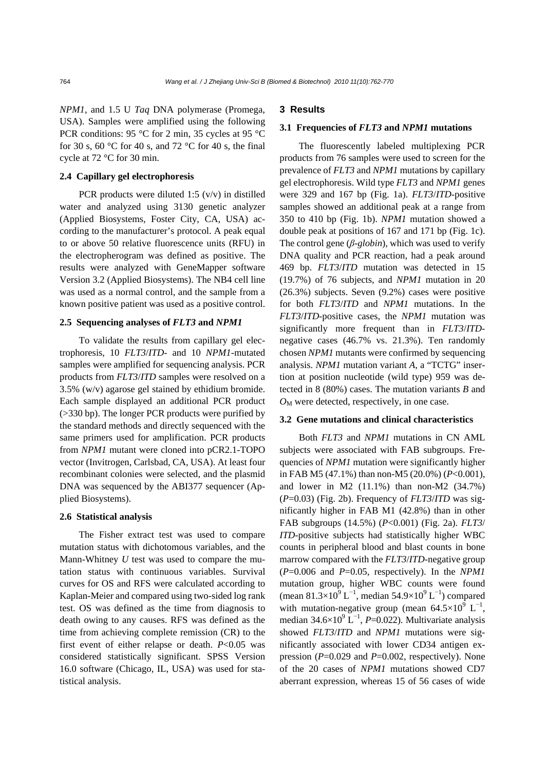*NPM1*, and 1.5 U *Taq* DNA polymerase (Promega, USA). Samples were amplified using the following PCR conditions: 95 °C for 2 min, 35 cycles at 95 °C for 30 s, 60 °C for 40 s, and 72 °C for 40 s, the final cycle at 72 °C for 30 min.

#### **2.4 Capillary gel electrophoresis**

PCR products were diluted 1:5 (v/v) in distilled water and analyzed using 3130 genetic analyzer (Applied Biosystems, Foster City, CA, USA) according to the manufacturer's protocol. A peak equal to or above 50 relative fluorescence units (RFU) in the electropherogram was defined as positive. The results were analyzed with GeneMapper software Version 3.2 (Applied Biosystems). The NB4 cell line was used as a normal control, and the sample from a known positive patient was used as a positive control.

#### **2.5 Sequencing analyses of** *FLT3* **and** *NPM1*

To validate the results from capillary gel electrophoresis, 10 *FLT3*/*ITD*- and 10 *NPM1*-mutated samples were amplified for sequencing analysis. PCR products from *FLT3*/*ITD* samples were resolved on a 3.5% (w/v) agarose gel stained by ethidium bromide. Each sample displayed an additional PCR product (>330 bp). The longer PCR products were purified by the standard methods and directly sequenced with the same primers used for amplification. PCR products from *NPM1* mutant were cloned into pCR2.1-TOPO vector (Invitrogen, Carlsbad, CA, USA). At least four recombinant colonies were selected, and the plasmid DNA was sequenced by the ABI377 sequencer (Applied Biosystems).

## **2.6 Statistical analysis**

The Fisher extract test was used to compare mutation status with dichotomous variables, and the Mann-Whitney *U* test was used to compare the mutation status with continuous variables. Survival curves for OS and RFS were calculated according to Kaplan-Meier and compared using two-sided log rank test. OS was defined as the time from diagnosis to death owing to any causes. RFS was defined as the time from achieving complete remission (CR) to the first event of either relapse or death. *P*<0.05 was considered statistically significant. SPSS Version 16.0 software (Chicago, IL, USA) was used for statistical analysis.

#### **3 Results**

#### **3.1 Frequencies of** *FLT3* **and** *NPM1* **mutations**

The fluorescently labeled multiplexing PCR products from 76 samples were used to screen for the prevalence of *FLT3* and *NPM1* mutations by capillary gel electrophoresis. Wild type *FLT3* and *NPM1* genes were 329 and 167 bp (Fig. 1a). *FLT3*/*ITD*-positive samples showed an additional peak at a range from 350 to 410 bp (Fig. 1b). *NPM1* mutation showed a double peak at positions of 167 and 171 bp (Fig. 1c). The control gene (*β-globin*), which was used to verify DNA quality and PCR reaction, had a peak around 469 bp. *FLT3*/*ITD* mutation was detected in 15 (19.7%) of 76 subjects, and *NPM1* mutation in 20 (26.3%) subjects. Seven (9.2%) cases were positive for both *FLT3*/*ITD* and *NPM1* mutations. In the *FLT3*/*ITD*-positive cases, the *NPM1* mutation was significantly more frequent than in *FLT3*/*ITD*negative cases (46.7% vs. 21.3%). Ten randomly chosen *NPM1* mutants were confirmed by sequencing analysis. *NPM1* mutation variant *A*, a "TCTG" insertion at position nucleotide (wild type) 959 was detected in 8 (80%) cases. The mutation variants *B* and  $O_M$  were detected, respectively, in one case.

## **3.2 Gene mutations and clinical characteristics**

Both *FLT3* and *NPM1* mutations in CN AML subjects were associated with FAB subgroups. Frequencies of *NPM1* mutation were significantly higher in FAB M5 (47.1%) than non-M5 (20.0%) (*P*<0.001), and lower in M2  $(11.1\%)$  than non-M2  $(34.7\%)$ (*P*=0.03) (Fig. 2b). Frequency of *FLT3*/*ITD* was significantly higher in FAB M1 (42.8%) than in other FAB subgroups (14.5%) (*P*<0.001) (Fig. 2a). *FLT3*/ *ITD*-positive subjects had statistically higher WBC counts in peripheral blood and blast counts in bone marrow compared with the *FLT3*/*ITD*-negative group (*P*=0.006 and *P*=0.05, respectively). In the *NPM1* mutation group, higher WBC counts were found (mean  $81.3\times10^{9}$  L<sup>-1</sup>, median  $54.9\times10^{9}$  L<sup>-1</sup>) compared with mutation-negative group (mean  $64.5 \times 10^9$  L<sup>-1</sup>, median  $34.6 \times 10^9$  L<sup>-1</sup>, *P*=0.022). Multivariate analysis showed *FLT3*/*ITD* and *NPM1* mutations were significantly associated with lower CD34 antigen expression (*P*=0.029 and *P*=0.002, respectively). None of the 20 cases of *NPM1* mutations showed CD7 aberrant expression, whereas 15 of 56 cases of wide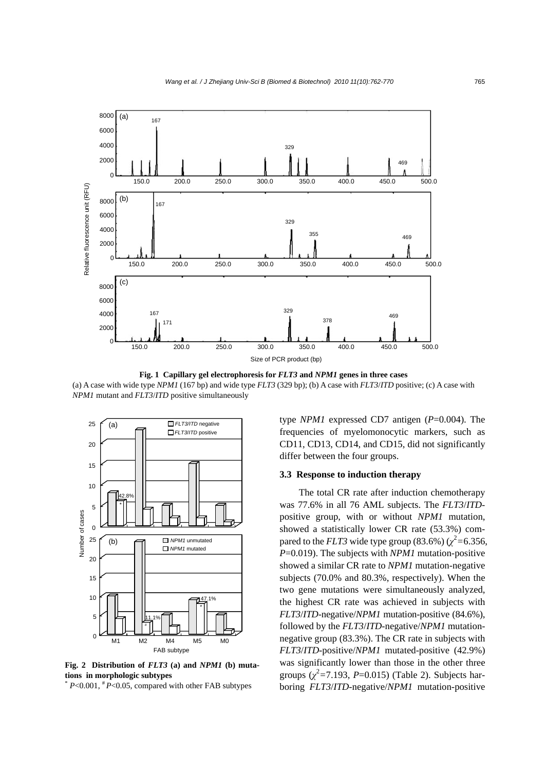

**Fig. 1 Capillary gel electrophoresis for** *FLT3* **and** *NPM1* **genes in three cases**  (a) A case with wide type *NPM1* (167 bp) and wide type *FLT3* (329 bp); (b) A case with *FLT3*/*ITD* positive; (c) A case with *NPM1* mutant and *FLT3*/*ITD* positive simultaneously



**Fig. 2 Distribution of** *FLT3* **(a) and** *NPM1* **(b) mutations in morphologic subtypes** 

 $*$  *P*<0.001,  $*$  *P*<0.05, compared with other FAB subtypes

type *NPM1* expressed CD7 antigen (*P*=0.004). The frequencies of myelomonocytic markers, such as CD11, CD13, CD14, and CD15, did not significantly differ between the four groups.

## **3.3 Response to induction therapy**

The total CR rate after induction chemotherapy was 77.6% in all 76 AML subjects. The *FLT3*/*ITD*positive group, with or without *NPM1* mutation, showed a statistically lower CR rate (53.3%) compared to the *FLT3* wide type group (83.6%) ( $\chi^2$  = 6.356, *P*=0.019). The subjects with *NPM1* mutation-positive showed a similar CR rate to *NPM1* mutation-negative subjects (70.0% and 80.3%, respectively). When the two gene mutations were simultaneously analyzed, the highest CR rate was achieved in subjects with *FLT3*/*ITD*-negative/*NPM1* mutation-positive (84.6%), followed by the *FLT3*/*ITD*-negative/*NPM1* mutationnegative group (83.3%). The CR rate in subjects with *FLT3*/*ITD*-positive/*NPM1* mutated-positive (42.9%) was significantly lower than those in the other three groups  $(\chi^2 = 7.193, P = 0.015)$  (Table 2). Subjects harboring *FLT3*/*ITD*-negative/*NPM1* mutation-positive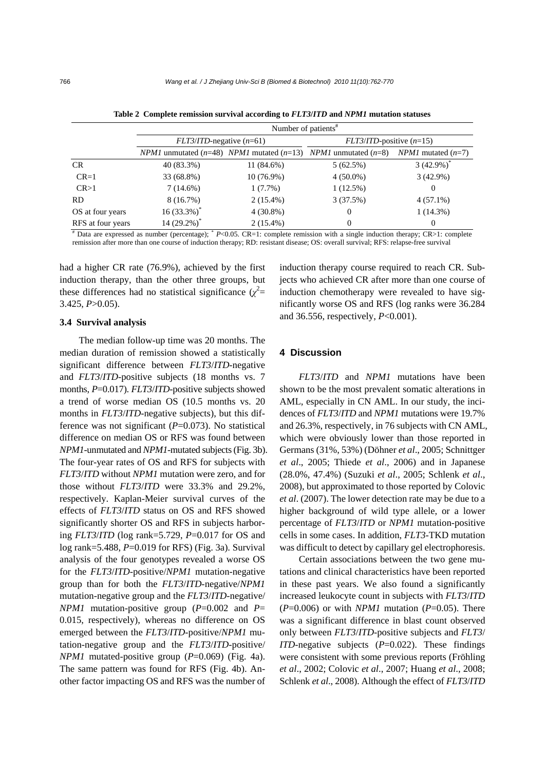|                                                                                                                                     | Number of patients <sup>#</sup>                             |              |                               |                             |  |  |  |
|-------------------------------------------------------------------------------------------------------------------------------------|-------------------------------------------------------------|--------------|-------------------------------|-----------------------------|--|--|--|
|                                                                                                                                     | $FLT3/ITD$ -negative (n=61)                                 |              | $FLT3/ITD$ -positive $(n=15)$ |                             |  |  |  |
|                                                                                                                                     | <i>NPM1</i> unmutated $(n=48)$ <i>NPM1</i> mutated $(n=13)$ |              | <i>NPM1</i> unmutated $(n=8)$ | <i>NPM1</i> mutated $(n=7)$ |  |  |  |
| <b>CR</b>                                                                                                                           | 40 (83.3%)                                                  | 11 (84.6%)   | 5(62.5%)                      | $3(42.9\%)$                 |  |  |  |
| $CR=1$                                                                                                                              | 33 (68.8%)                                                  | $10(76.9\%)$ | $4(50.0\%)$                   | $3(42.9\%)$                 |  |  |  |
| CR > 1                                                                                                                              | $7(14.6\%)$                                                 | $1(7.7\%)$   | 1(12.5%)                      | $\theta$                    |  |  |  |
| <b>RD</b>                                                                                                                           | 8(16.7%)                                                    | $2(15.4\%)$  | 3(37.5%)                      | $4(57.1\%)$                 |  |  |  |
| OS at four years                                                                                                                    | $16(33.3\%)^*$                                              | $4(30.8\%)$  | $\theta$                      | 1(14.3%)                    |  |  |  |
| RFS at four years                                                                                                                   | 14 $(29.2\%)^*$                                             | $2(15.4\%)$  | $\theta$                      | $\theta$                    |  |  |  |
| $*$ Data are expressed as number (percentage); $*$ P<0.05. CR=1: complete remission with a single induction therapy; CR>1: complete |                                                             |              |                               |                             |  |  |  |

**Table 2 Complete remission survival according to** *FLT3***/***ITD* **and** *NPM1* **mutation statuses** 

remission after more than one course of induction therapy; RD: resistant disease; OS: overall survival; RFS: relapse-free survival

had a higher CR rate (76.9%), achieved by the first induction therapy, than the other three groups, but these differences had no statistical significance  $(\chi^2 =$ 3.425, *P*>0.05).

#### **3.4 Survival analysis**

The median follow-up time was 20 months. The median duration of remission showed a statistically significant difference between *FLT3*/*ITD*-negative and *FLT3*/*ITD*-positive subjects (18 months vs. 7 months, *P*=0.017). *FLT3*/*ITD*-positive subjects showed a trend of worse median OS (10.5 months vs. 20 months in *FLT3*/*ITD*-negative subjects), but this difference was not significant (P=0.073). No statistical difference on median OS or RFS was found between *NPM1*-unmutated and *NPM1*-mutated subjects (Fig. 3b). The four-year rates of OS and RFS for subjects with *FLT3*/*ITD* without *NPM1* mutation were zero, and for those without *FLT3*/*ITD* were 33.3% and 29.2%, respectively. Kaplan-Meier survival curves of the effects of *FLT3*/*ITD* status on OS and RFS showed significantly shorter OS and RFS in subjects harboring *FLT3*/*ITD* (log rank=5.729, *P*=0.017 for OS and log rank=5.488, *P*=0.019 for RFS) (Fig. 3a). Survival analysis of the four genotypes revealed a worse OS for the *FLT3*/*ITD*-positive/*NPM1* mutation-negative group than for both the *FLT3*/*ITD*-negative/*NPM1* mutation-negative group and the *FLT3*/*ITD*-negative/ *NPM1* mutation-positive group (*P*=0.002 and *P*= 0.015, respectively), whereas no difference on OS emerged between the *FLT3*/*ITD*-positive/*NPM1* mutation-negative group and the *FLT3*/*ITD*-positive/ *NPM1* mutated-positive group (*P*=0.069) (Fig. 4a). The same pattern was found for RFS (Fig. 4b). Another factor impacting OS and RFS was the number of

induction therapy course required to reach CR. Subjects who achieved CR after more than one course of induction chemotherapy were revealed to have significantly worse OS and RFS (log ranks were 36.284 and 36.556, respectively, *P*<0.001).

# **4 Discussion**

*FLT3*/*ITD* and *NPM1* mutations have been shown to be the most prevalent somatic alterations in AML, especially in CN AML. In our study, the incidences of *FLT3*/*ITD* and *NPM1* mutations were 19.7% and 26.3%, respectively, in 76 subjects with CN AML, which were obviously lower than those reported in Germans (31%, 53%) (Döhner *et al*., 2005; Schnittger *et al*., 2005; Thiede *et al*., 2006) and in Japanese (28.0%, 47.4%) (Suzuki *et al*., 2005; Schlenk *et al*., 2008), but approximated to those reported by Colovic *et al*. (2007). The lower detection rate may be due to a higher background of wild type allele, or a lower percentage of *FLT3*/*ITD* or *NPM1* mutation-positive cells in some cases. In addition, *FLT3*-TKD mutation was difficult to detect by capillary gel electrophoresis.

Certain associations between the two gene mutations and clinical characteristics have been reported in these past years. We also found a significantly increased leukocyte count in subjects with *FLT3*/*ITD*  $(P=0.006)$  or with *NPM1* mutation  $(P=0.05)$ . There was a significant difference in blast count observed only between *FLT3*/*ITD*-positive subjects and *FLT3*/ *ITD*-negative subjects (*P*=0.022). These findings were consistent with some previous reports (Fröhling *et al*., 2002; Colovic *et al*., 2007; Huang *et al*., 2008; Schlenk *et al*., 2008). Although the effect of *FLT3*/*ITD*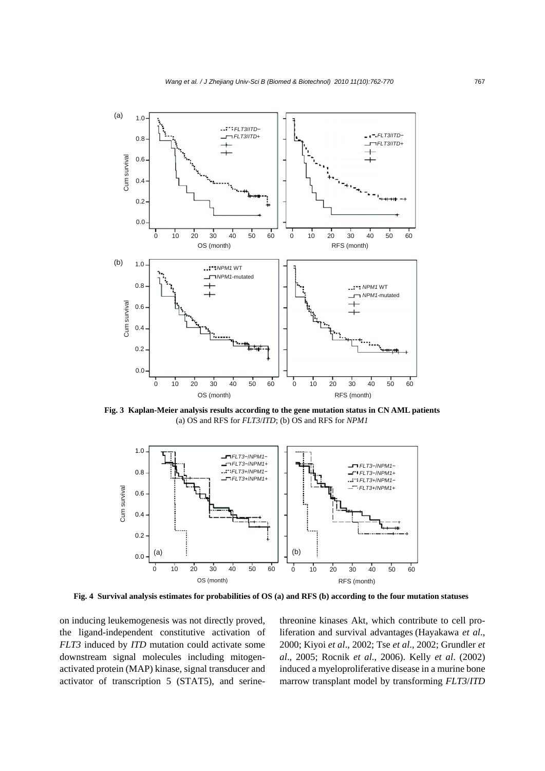

**Fig. 3 Kaplan-Meier analysis results according to the gene mutation status in CN AML patients**  (a) OS and RFS for *FLT3*/*ITD*; (b) OS and RFS for *NPM1*



**Fig. 4 Survival analysis estimates for probabilities of OS (a) and RFS (b) according to the four mutation statuses**

on inducing leukemogenesis was not directly proved, the ligand-independent constitutive activation of *FLT3* induced by *ITD* mutation could activate some downstream signal molecules including mitogenactivated protein (MAP) kinase, signal transducer and activator of transcription 5 (STAT5), and serinethreonine kinases Akt, which contribute to cell proliferation and survival advantages (Hayakawa *et al*., 2000; Kiyoi *et al*., 2002; Tse *et al*., 2002; Grundler *et al*., 2005; Rocnik *et al*., 2006). Kelly *et al*. (2002) induced a myeloproliferative disease in a murine bone marrow transplant model by transforming *FLT3*/*ITD*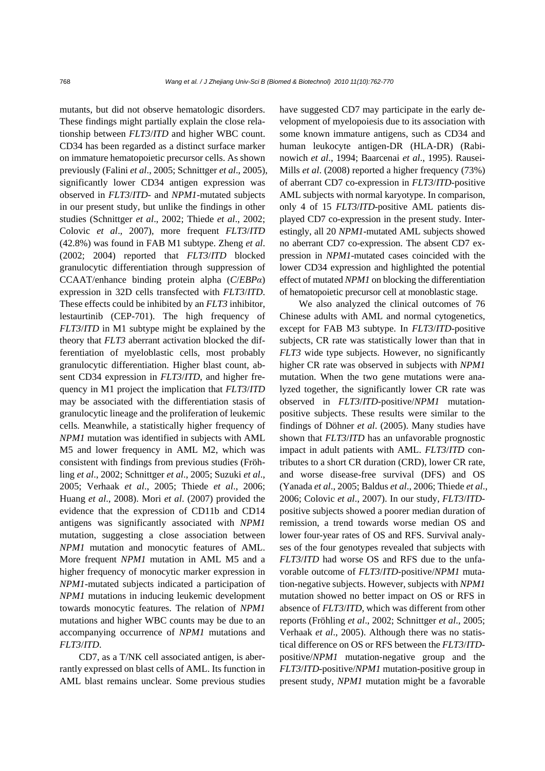mutants, but did not observe hematologic disorders. These findings might partially explain the close relationship between *FLT3*/*ITD* and higher WBC count. CD34 has been regarded as a distinct surface marker on immature hematopoietic precursor cells. As shown previously (Falini *et al*., 2005; Schnittger *et al*., 2005), significantly lower CD34 antigen expression was observed in *FLT3*/*ITD*- and *NPM1*-mutated subjects in our present study, but unlike the findings in other studies (Schnittger *et al*., 2002; Thiede *et al*., 2002; Colovic *et al*., 2007), more frequent *FLT3*/*ITD* (42.8%) was found in FAB M1 subtype. Zheng *et al*. (2002; 2004) reported that *FLT3*/*ITD* blocked granulocytic differentiation through suppression of CCAAT/enhance binding protein alpha (*C*/*EBPα*) expression in 32D cells transfected with *FLT3*/*ITD*. These effects could be inhibited by an *FLT3* inhibitor, lestaurtinib (CEP-701). The high frequency of *FLT3*/*ITD* in M1 subtype might be explained by the theory that *FLT3* aberrant activation blocked the differentiation of myeloblastic cells, most probably granulocytic differentiation. Higher blast count, absent CD34 expression in *FLT3*/*ITD*, and higher frequency in M1 project the implication that *FLT3*/*ITD* may be associated with the differentiation stasis of granulocytic lineage and the proliferation of leukemic cells. Meanwhile, a statistically higher frequency of *NPM1* mutation was identified in subjects with AML M5 and lower frequency in AML M2, which was consistent with findings from previous studies (Fröhling *et al*., 2002; Schnittger *et al*., 2005; Suzuki *et al*., 2005; Verhaak *et al*., 2005; Thiede *et al*., 2006; Huang *et al*., 2008). Mori *et al*. (2007) provided the evidence that the expression of CD11b and CD14 antigens was significantly associated with *NPM1* mutation, suggesting a close association between *NPM1* mutation and monocytic features of AML. More frequent *NPM1* mutation in AML M5 and a higher frequency of monocytic marker expression in *NPM1*-mutated subjects indicated a participation of *NPM1* mutations in inducing leukemic development towards monocytic features. The relation of *NPM1* mutations and higher WBC counts may be due to an accompanying occurrence of *NPM1* mutations and *FLT3*/*ITD*.

CD7, as a T/NK cell associated antigen, is aberrantly expressed on blast cells of AML. Its function in AML blast remains unclear. Some previous studies have suggested CD7 may participate in the early development of myelopoiesis due to its association with some known immature antigens, such as CD34 and human leukocyte antigen-DR (HLA-DR) (Rabinowich *et al*., 1994; Baarcenai *et al*., 1995). Rausei-Mills *et al*. (2008) reported a higher frequency (73%) of aberrant CD7 co-expression in *FLT3*/*ITD*-positive AML subjects with normal karyotype. In comparison, only 4 of 15 *FLT3*/*ITD*-positive AML patients displayed CD7 co-expression in the present study. Interestingly, all 20 *NPM1*-mutated AML subjects showed no aberrant CD7 co-expression. The absent CD7 expression in *NPM1*-mutated cases coincided with the lower CD34 expression and highlighted the potential effect of mutated *NPM1* on blocking the differentiation of hematopoietic precursor cell at monoblastic stage.

We also analyzed the clinical outcomes of 76 Chinese adults with AML and normal cytogenetics, except for FAB M3 subtype. In *FLT3*/*ITD*-positive subjects, CR rate was statistically lower than that in *FLT3* wide type subjects. However, no significantly higher CR rate was observed in subjects with *NPM1* mutation. When the two gene mutations were analyzed together, the significantly lower CR rate was observed in *FLT3*/*ITD*-positive/*NPM1* mutationpositive subjects. These results were similar to the findings of Döhner *et al*. (2005). Many studies have shown that *FLT3*/*ITD* has an unfavorable prognostic impact in adult patients with AML. *FLT3*/*ITD* contributes to a short CR duration (CRD), lower CR rate, and worse disease-free survival (DFS) and OS (Yanada *et al*., 2005; Baldus *et al*., 2006; Thiede *et al*., 2006; Colovic *et al*., 2007). In our study, *FLT3*/*ITD*positive subjects showed a poorer median duration of remission, a trend towards worse median OS and lower four-year rates of OS and RFS. Survival analyses of the four genotypes revealed that subjects with *FLT3*/*ITD* had worse OS and RFS due to the unfavorable outcome of *FLT3*/*ITD*-positive/*NPM1* mutation-negative subjects. However, subjects with *NPM1* mutation showed no better impact on OS or RFS in absence of *FLT3*/*ITD*, which was different from other reports (Fröhling *et al*., 2002; Schnittger *et al*., 2005; Verhaak *et al*., 2005). Although there was no statistical difference on OS or RFS between the *FLT3*/*ITD*positive/*NPM1* mutation-negative group and the *FLT3*/*ITD*-positive/*NPM1* mutation-positive group in present study, *NPM1* mutation might be a favorable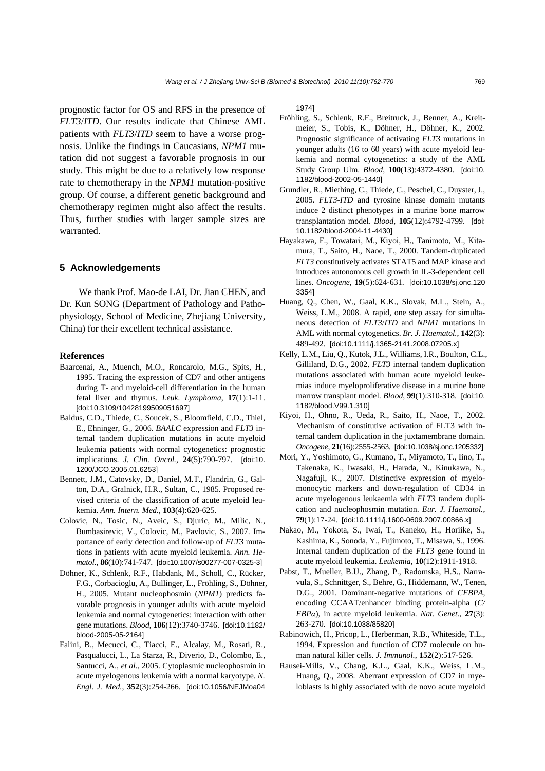prognostic factor for OS and RFS in the presence of *FLT3*/*ITD*. Our results indicate that Chinese AML patients with *FLT3*/*ITD* seem to have a worse prognosis. Unlike the findings in Caucasians, *NPM1* mutation did not suggest a favorable prognosis in our study. This might be due to a relatively low response rate to chemotherapy in the *NPM1* mutation-positive group. Of course, a different genetic background and chemotherapy regimen might also affect the results. Thus, further studies with larger sample sizes are warranted.

## **5 Acknowledgements**

We thank Prof. Mao-de LAI, Dr. Jian CHEN, and Dr. Kun SONG (Department of Pathology and Pathophysiology, School of Medicine, Zhejiang University, China) for their excellent technical assistance.

## **References**

- Baarcenai, A., Muench, M.O., Roncarolo, M.G., Spits, H., 1995. Tracing the expression of CD7 and other antigens during T- and myeloid-cell differentiation in the human fetal liver and thymus. *Leuk. Lymphoma*, **17**(1):1-11. [doi:10.3109/10428199509051697]
- Baldus, C.D., Thiede, C., Soucek, S., Bloomfield, C.D., Thiel, E., Ehninger, G., 2006. *BAALC* expression and *FLT3* internal tandem duplication mutations in acute myeloid leukemia patients with normal cytogenetics: prognostic implications. *J. Clin. Oncol.*, **24**(5):790-797. [doi:10. 1200/JCO.2005.01.6253]
- Bennett, J.M., Catovsky, D., Daniel, M.T., Flandrin, G., Galton, D.A., Gralnick, H.R., Sultan, C., 1985. Proposed revised criteria of the classification of acute myeloid leukemia. *Ann. Intern. Med.*, **103**(4):620-625.
- Colovic, N., Tosic, N., Aveic, S., Djuric, M., Milic, N., Bumbasirevic, V., Colovic, M., Pavlovic, S., 2007. Importance of early detection and follow-up of *FLT3* mutations in patients with acute myeloid leukemia. *Ann. Hematol.*, **86**(10):741-747. [doi:10.1007/s00277-007-0325-3]
- Döhner, K., Schlenk, R.F., Habdank, M., Scholl, C., Rücker, F.G., Corbacioglu, A., Bullinger, L., Fröhling, S., Döhner, H., 2005. Mutant nucleophosmin (*NPM1*) predicts favorable prognosis in younger adults with acute myeloid leukemia and normal cytogenetics: interaction with other gene mutations. *Blood*, **106**(12):3740-3746. [doi:10.1182/ blood-2005-05-2164]
- Falini, B., Mecucci, C., Tiacci, E., Alcalay, M., Rosati, R., Pasqualucci, L., La Starza, R., Diverio, D., Colombo, E., Santucci, A., *et al*., 2005. Cytoplasmic nucleophosmin in acute myelogenous leukemia with a normal karyotype. *N. Engl. J. Med.*, **352**(3):254-266. [doi:10.1056/NEJMoa04

1974]

- Fröhling, S., Schlenk, R.F., Breitruck, J., Benner, A., Kreitmeier, S., Tobis, K., Döhner, H., Döhner, K., 2002. Prognostic significance of activating *FLT3* mutations in younger adults (16 to 60 years) with acute myeloid leukemia and normal cytogenetics: a study of the AML Study Group Ulm. *Blood*, **100**(13):4372-4380. [doi:10. 1182/blood-2002-05-1440]
- Grundler, R., Miething, C., Thiede, C., Peschel, C., Duyster, J., 2005. *FLT3*-*ITD* and tyrosine kinase domain mutants induce 2 distinct phenotypes in a murine bone marrow transplantation model. *Blood*, **105**(12):4792-4799. [doi: 10.1182/blood-2004-11-4430]
- Hayakawa, F., Towatari, M., Kiyoi, H., Tanimoto, M., Kitamura, T., Saito, H., Naoe, T., 2000. Tandem-duplicated *FLT3* constitutively activates STAT5 and MAP kinase and introduces autonomous cell growth in IL-3-dependent cell lines. *Oncogene*, **19**(5):624-631. [doi:10.1038/sj.onc.120 3354]
- Huang, Q., Chen, W., Gaal, K.K., Slovak, M.L., Stein, A., Weiss, L.M., 2008. A rapid, one step assay for simultaneous detection of *FLT3*/*ITD* and *NPM1* mutations in AML with normal cytogenetics. *Br. J. Haematol.*, **142**(3): 489-492. [doi:10.1111/j.1365-2141.2008.07205.x]
- Kelly, L.M., Liu, Q., Kutok, J.L., Williams, I.R., Boulton, C.L., Gilliland, D.G., 2002. *FLT3* internal tandem duplication mutations associated with human acute myeloid leukemias induce myeloproliferative disease in a murine bone marrow transplant model. *Blood*, **99**(1):310-318. [doi:10. 1182/blood.V99.1.310]
- Kiyoi, H., Ohno, R., Ueda, R., Saito, H., Naoe, T., 2002. Mechanism of constitutive activation of FLT3 with internal tandem duplication in the juxtamembrane domain. *Oncogene*, **21**(16):2555-2563. [doi:10.1038/sj.onc.1205332]
- Mori, Y., Yoshimoto, G., Kumano, T., Miyamoto, T., Iino, T., Takenaka, K., Iwasaki, H., Harada, N., Kinukawa, N., Nagafuji, K., 2007. Distinctive expression of myelomonocytic markers and down-regulation of CD34 in acute myelogenous leukaemia with *FLT3* tandem duplication and nucleophosmin mutation. *Eur. J. Haematol.*, **79**(1):17-24. [doi:10.1111/j.1600-0609.2007.00866.x]
- Nakao, M., Yokota, S., Iwai, T., Kaneko, H., Horiike, S., Kashima, K., Sonoda, Y., Fujimoto, T., Misawa, S., 1996. Internal tandem duplication of the *FLT3* gene found in acute myeloid leukemia. *Leukemia*, **10**(12):1911-1918.
- Pabst, T., Mueller, B.U., Zhang, P., Radomska, H.S., Narravula, S., Schnittger, S., Behre, G., Hiddemann, W., Tenen, D.G., 2001. Dominant-negative mutations of *CEBPA*, encoding CCAAT/enhancer binding protein-alpha (*C/ EBPα*), in acute myeloid leukemia. *Nat. Genet.*, **27**(3): 263-270. [doi:10.1038/85820]
- Rabinowich, H., Pricop, L., Herberman, R.B., Whiteside, T.L., 1994. Expression and function of CD7 molecule on human natural killer cells. *J. Immunol.*, **152**(2):517-526.
- Rausei-Mills, V., Chang, K.L., Gaal, K.K., Weiss, L.M., Huang, Q., 2008. Aberrant expression of CD7 in myeloblasts is highly associated with de novo acute myeloid